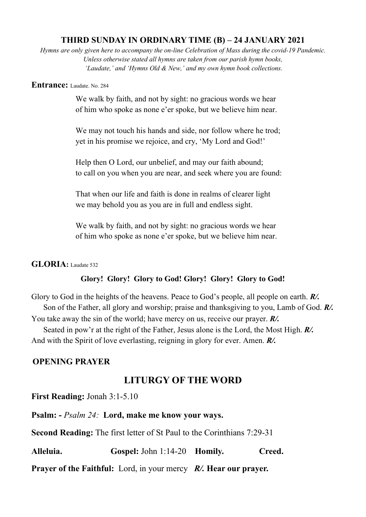## **THIRD SUNDAY IN ORDINARY TIME (B) – 24 JANUARY 2021**

*Hymns are only given here to accompany the on-line Celebration of Mass during the covid-19 Pandemic. Unless otherwise stated all hymns are taken from our parish hymn books, 'Laudate,' and 'Hymns Old & New,' and my own hymn book collections.*

### **Entrance:** Laudate. No. 284

We walk by faith, and not by sight: no gracious words we hear of him who spoke as none e'er spoke, but we believe him near.

We may not touch his hands and side, nor follow where he trod; yet in his promise we rejoice, and cry, 'My Lord and God!'

Help then O Lord, our unbelief, and may our faith abound; to call on you when you are near, and seek where you are found:

That when our life and faith is done in realms of clearer light we may behold you as you are in full and endless sight.

We walk by faith, and not by sight: no gracious words we hear of him who spoke as none e'er spoke, but we believe him near.

### **GLORIA:** Laudate 532

## **Glory! Glory! Glory to God! Glory! Glory! Glory to God!**

Glory to God in the heights of the heavens. Peace to God's people, all people on earth. *R/.* Son of the Father, all glory and worship; praise and thanksgiving to you, Lamb of God. *R/.* You take away the sin of the world; have mercy on us, receive our prayer. *R/.*

 Seated in pow'r at the right of the Father, Jesus alone is the Lord, the Most High. *R/.* And with the Spirit of love everlasting, reigning in glory for ever. Amen. *R/.*

## **OPENING PRAYER**

# **LITURGY OF THE WORD**

**First Reading:** Jonah 3:1-5.10

**Psalm: -** *Psalm 24:* **Lord, make me know your ways.**

**Second Reading:** The first letter of St Paul to the Corinthians 7:29-31

**Alleluia. Gospel:** John 1:14-20 **Homily. Creed. Prayer of the Faithful:** Lord, in your mercy *R/.* **Hear our prayer.**